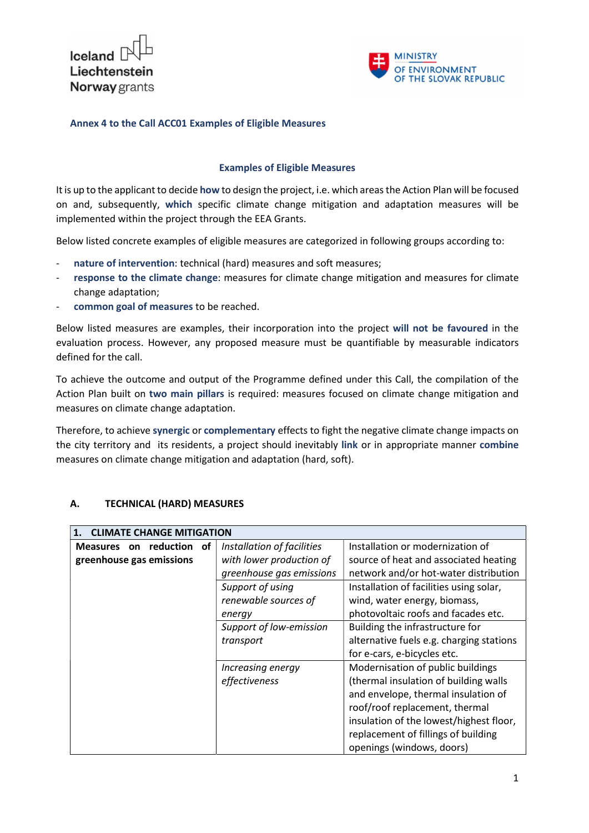Iceland Liechtenstein **Norway** grants



#### Annex 4 to the Call ACC01 Examples of Eligible Measures

#### Examples of Eligible Measures

It is up to the applicant to decide how to design the project, i.e. which areas the Action Plan will be focused on and, subsequently, which specific climate change mitigation and adaptation measures will be implemented within the project through the EEA Grants.

Below listed concrete examples of eligible measures are categorized in following groups according to:

- nature of intervention: technical (hard) measures and soft measures;
- response to the climate change: measures for climate change mitigation and measures for climate change adaptation;
- common goal of measures to be reached.

Below listed measures are examples, their incorporation into the project will not be favoured in the evaluation process. However, any proposed measure must be quantifiable by measurable indicators defined for the call.

To achieve the outcome and output of the Programme defined under this Call, the compilation of the Action Plan built on two main pillars is required: measures focused on climate change mitigation and measures on climate change adaptation.

Therefore, to achieve synergic or complementary effects to fight the negative climate change impacts on the city territory and its residents, a project should inevitably link or in appropriate manner combine measures on climate change mitigation and adaptation (hard, soft).

#### A. TECHNICAL (HARD) MEASURES

| 1. CLIMATE CHANGE MITIGATION |                            |                                          |
|------------------------------|----------------------------|------------------------------------------|
| Measures on reduction of     | Installation of facilities | Installation or modernization of         |
| greenhouse gas emissions     | with lower production of   | source of heat and associated heating    |
|                              | greenhouse gas emissions   | network and/or hot-water distribution    |
|                              | Support of using           | Installation of facilities using solar,  |
|                              | renewable sources of       | wind, water energy, biomass,             |
|                              | energy                     | photovoltaic roofs and facades etc.      |
|                              | Support of low-emission    | Building the infrastructure for          |
|                              | transport                  | alternative fuels e.g. charging stations |
|                              |                            | for e-cars, e-bicycles etc.              |
|                              | Increasing energy          | Modernisation of public buildings        |
|                              | effectiveness              | (thermal insulation of building walls    |
|                              |                            | and envelope, thermal insulation of      |
|                              |                            | roof/roof replacement, thermal           |
|                              |                            | insulation of the lowest/highest floor,  |
|                              |                            | replacement of fillings of building      |
|                              |                            | openings (windows, doors)                |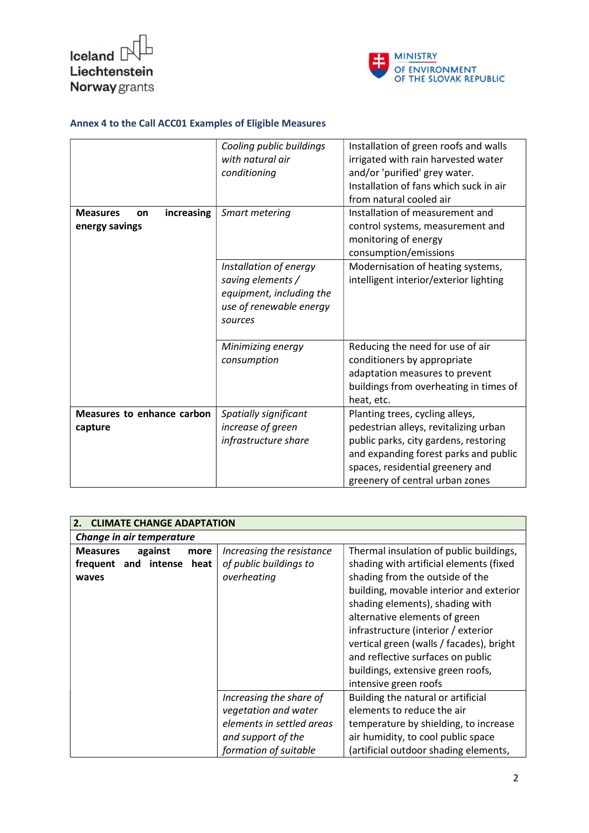



|                                                       | Cooling public buildings<br>with natural air<br>conditioning                                                  | Installation of green roofs and walls<br>irrigated with rain harvested water<br>and/or 'purified' grey water.<br>Installation of fans which suck in air<br>from natural cooled air<br>Installation of measurement and             |
|-------------------------------------------------------|---------------------------------------------------------------------------------------------------------------|-----------------------------------------------------------------------------------------------------------------------------------------------------------------------------------------------------------------------------------|
| increasing<br><b>Measures</b><br>on<br>energy savings | Smart metering                                                                                                | control systems, measurement and<br>monitoring of energy<br>consumption/emissions                                                                                                                                                 |
|                                                       | Installation of energy<br>saving elements /<br>equipment, including the<br>use of renewable energy<br>sources | Modernisation of heating systems,<br>intelligent interior/exterior lighting                                                                                                                                                       |
|                                                       | Minimizing energy<br>consumption                                                                              | Reducing the need for use of air<br>conditioners by appropriate<br>adaptation measures to prevent<br>buildings from overheating in times of<br>heat, etc.                                                                         |
| Measures to enhance carbon<br>capture                 | Spatially significant<br>increase of green<br>infrastructure share                                            | Planting trees, cycling alleys,<br>pedestrian alleys, revitalizing urban<br>public parks, city gardens, restoring<br>and expanding forest parks and public<br>spaces, residential greenery and<br>greenery of central urban zones |

| <b>CLIMATE CHANGE ADAPTATION</b>   |                           |                                          |
|------------------------------------|---------------------------|------------------------------------------|
| Change in air temperature          |                           |                                          |
| <b>Measures</b><br>against<br>more | Increasing the resistance | Thermal insulation of public buildings,  |
| frequent and intense heat          | of public buildings to    | shading with artificial elements (fixed  |
| waves                              | overheating               | shading from the outside of the          |
|                                    |                           | building, movable interior and exterior  |
|                                    |                           | shading elements), shading with          |
|                                    |                           | alternative elements of green            |
|                                    |                           | infrastructure (interior / exterior      |
|                                    |                           | vertical green (walls / facades), bright |
|                                    |                           | and reflective surfaces on public        |
|                                    |                           | buildings, extensive green roofs,        |
|                                    |                           | intensive green roofs                    |
|                                    | Increasing the share of   | Building the natural or artificial       |
|                                    | vegetation and water      | elements to reduce the air               |
|                                    | elements in settled areas | temperature by shielding, to increase    |
|                                    | and support of the        | air humidity, to cool public space       |
|                                    | formation of suitable     | (artificial outdoor shading elements,    |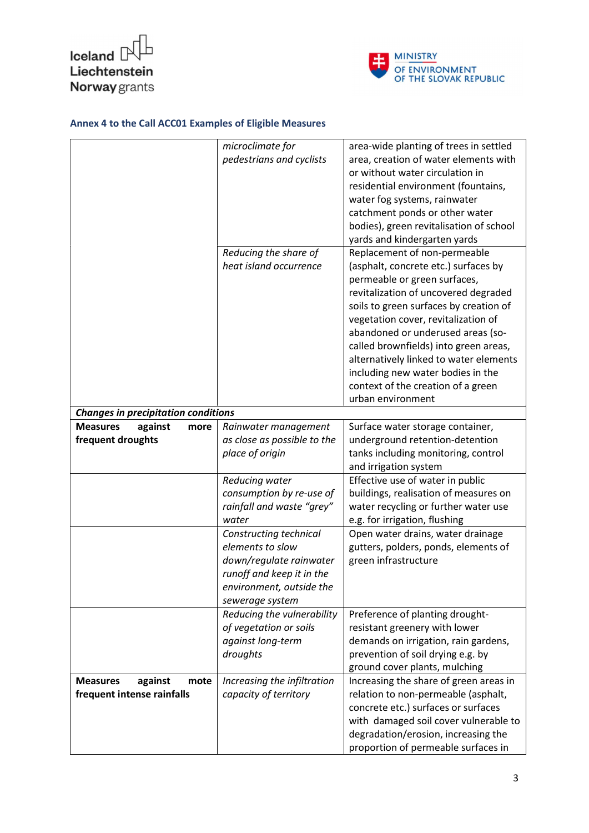



|                                            | microclimate for            | area-wide planting of trees in settled  |
|--------------------------------------------|-----------------------------|-----------------------------------------|
|                                            | pedestrians and cyclists    | area, creation of water elements with   |
|                                            |                             | or without water circulation in         |
|                                            |                             | residential environment (fountains,     |
|                                            |                             | water fog systems, rainwater            |
|                                            |                             | catchment ponds or other water          |
|                                            |                             | bodies), green revitalisation of school |
|                                            |                             | yards and kindergarten yards            |
|                                            | Reducing the share of       | Replacement of non-permeable            |
|                                            | heat island occurrence      | (asphalt, concrete etc.) surfaces by    |
|                                            |                             | permeable or green surfaces,            |
|                                            |                             | revitalization of uncovered degraded    |
|                                            |                             | soils to green surfaces by creation of  |
|                                            |                             | vegetation cover, revitalization of     |
|                                            |                             | abandoned or underused areas (so-       |
|                                            |                             |                                         |
|                                            |                             | called brownfields) into green areas,   |
|                                            |                             | alternatively linked to water elements  |
|                                            |                             | including new water bodies in the       |
|                                            |                             | context of the creation of a green      |
|                                            |                             | urban environment                       |
| <b>Changes in precipitation conditions</b> |                             |                                         |
| <b>Measures</b><br>against<br>more         | Rainwater management        | Surface water storage container,        |
| frequent droughts                          | as close as possible to the | underground retention-detention         |
|                                            | place of origin             | tanks including monitoring, control     |
|                                            |                             | and irrigation system                   |
|                                            | Reducing water              | Effective use of water in public        |
|                                            | consumption by re-use of    | buildings, realisation of measures on   |
|                                            | rainfall and waste "grey"   | water recycling or further water use    |
|                                            | water                       | e.g. for irrigation, flushing           |
|                                            | Constructing technical      | Open water drains, water drainage       |
|                                            | elements to slow            | gutters, polders, ponds, elements of    |
|                                            | down/regulate rainwater     | green infrastructure                    |
|                                            | runoff and keep it in the   |                                         |
|                                            | environment, outside the    |                                         |
|                                            | sewerage system             |                                         |
|                                            | Reducing the vulnerability  | Preference of planting drought-         |
|                                            | of vegetation or soils      | resistant greenery with lower           |
|                                            | against long-term           | demands on irrigation, rain gardens,    |
|                                            | droughts                    | prevention of soil drying e.g. by       |
|                                            |                             | ground cover plants, mulching           |
| against<br><b>Measures</b><br>mote         | Increasing the infiltration | Increasing the share of green areas in  |
| frequent intense rainfalls                 | capacity of territory       | relation to non-permeable (asphalt,     |
|                                            |                             | concrete etc.) surfaces or surfaces     |
|                                            |                             | with damaged soil cover vulnerable to   |
|                                            |                             | degradation/erosion, increasing the     |
|                                            |                             | proportion of permeable surfaces in     |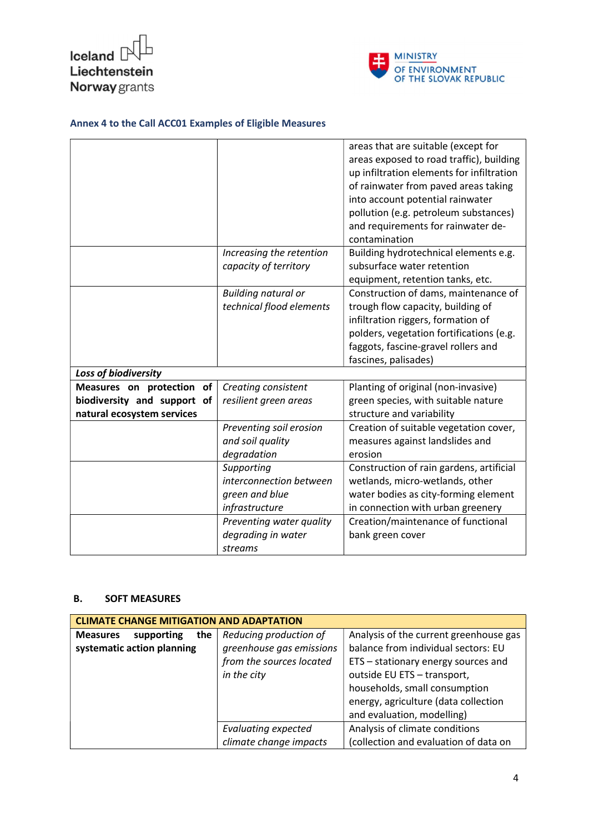



|                             |                            | areas that are suitable (except for       |
|-----------------------------|----------------------------|-------------------------------------------|
|                             |                            | areas exposed to road traffic), building  |
|                             |                            | up infiltration elements for infiltration |
|                             |                            | of rainwater from paved areas taking      |
|                             |                            | into account potential rainwater          |
|                             |                            | pollution (e.g. petroleum substances)     |
|                             |                            | and requirements for rainwater de-        |
|                             |                            | contamination                             |
|                             | Increasing the retention   | Building hydrotechnical elements e.g.     |
|                             | capacity of territory      | subsurface water retention                |
|                             |                            | equipment, retention tanks, etc.          |
|                             | <b>Building natural or</b> | Construction of dams, maintenance of      |
|                             | technical flood elements   | trough flow capacity, building of         |
|                             |                            | infiltration riggers, formation of        |
|                             |                            | polders, vegetation fortifications (e.g.  |
|                             |                            | faggots, fascine-gravel rollers and       |
|                             |                            | fascines, palisades)                      |
| Loss of biodiversity        |                            |                                           |
| Measures on protection of   | Creating consistent        | Planting of original (non-invasive)       |
| biodiversity and support of | resilient green areas      | green species, with suitable nature       |
| natural ecosystem services  |                            | structure and variability                 |
|                             | Preventing soil erosion    | Creation of suitable vegetation cover,    |
|                             | and soil quality           | measures against landslides and           |
|                             | degradation                | erosion                                   |
|                             | Supporting                 | Construction of rain gardens, artificial  |
|                             | interconnection between    | wetlands, micro-wetlands, other           |
|                             | green and blue             | water bodies as city-forming element      |
|                             | infrastructure             | in connection with urban greenery         |
|                             | Preventing water quality   | Creation/maintenance of functional        |
|                             | degrading in water         | bank green cover                          |
|                             | streams                    |                                           |

#### B. SOFT MEASURES

| <b>CLIMATE CHANGE MITIGATION AND ADAPTATION</b>                    |                                                                                               |                                                                                                                                                                                                                                                            |
|--------------------------------------------------------------------|-----------------------------------------------------------------------------------------------|------------------------------------------------------------------------------------------------------------------------------------------------------------------------------------------------------------------------------------------------------------|
| supporting<br>the<br><b>Measures</b><br>systematic action planning | Reducing production of<br>greenhouse gas emissions<br>from the sources located<br>in the city | Analysis of the current greenhouse gas<br>balance from individual sectors: EU<br>ETS - stationary energy sources and<br>outside EU ETS - transport,<br>households, small consumption<br>energy, agriculture (data collection<br>and evaluation, modelling) |
|                                                                    | <b>Evaluating expected</b><br>climate change impacts                                          | Analysis of climate conditions<br>(collection and evaluation of data on                                                                                                                                                                                    |